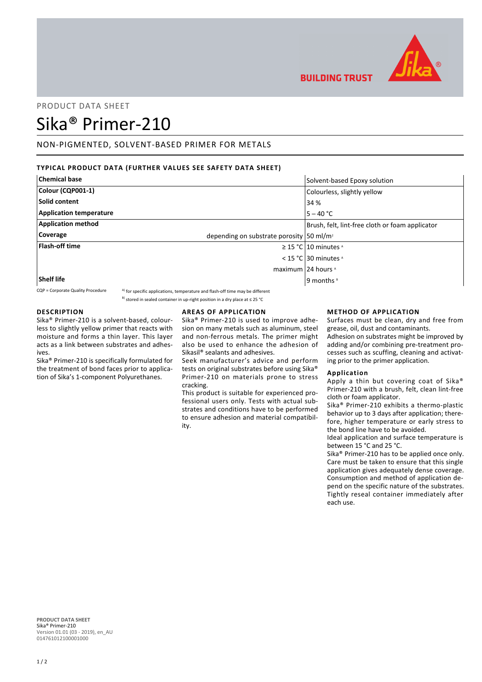

# PRODUCT DATA SHEET

# Sika® Primer-210

## NON-PIGMENTED, SOLVENT-BASED PRIMER FOR METALS

## **TYPICAL PRODUCT DATA (FURTHER VALUES SEE SAFETY DATA SHEET)**

| <b>Chemical base</b>           | Solvent-based Epoxy solution                         |
|--------------------------------|------------------------------------------------------|
| Colour (CQP001-1)              | Colourless, slightly yellow                          |
| Solid content                  | 34 %                                                 |
| <b>Application temperature</b> | $5 - 40 °C$                                          |
| <b>Application method</b>      | Brush, felt, lint-free cloth or foam applicator      |
| <b>Coverage</b>                | depending on substrate porosity 50 ml/m <sup>2</sup> |
| <b>Flash-off time</b>          | $\geq$ 15 °C   10 minutes $\triangle$                |
|                                | < 15 °C 30 minutes $\lambda$                         |
|                                | maximum 24 hours ^                                   |
| Shelf life                     | 9 months <sup>8</sup>                                |

 $CQP =$  Corporate Quality Procedure  $A)$  for specific applications, temperature and flash-off time may be different

<sup>B)</sup> stored in sealed container in up-right position in a dry place at ≤ 25 °C

## **DESCRIPTION**

Sika® Primer-210 is a solvent-based, colourless to slightly yellow primer that reacts with moisture and forms a thin layer. This layer acts as a link between substrates and adhesives.

Sika® Primer-210 is specifically formulated for the treatment of bond faces prior to application of Sika's 1-component Polyurethanes.

## **AREAS OF APPLICATION**

Sika® Primer-210 is used to improve adhesion on many metals such as aluminum, steel and non-ferrous metals. The primer might also be used to enhance the adhesion of Sikasil® sealants and adhesives.

Seek manufacturer's advice and perform tests on original substrates before using Sika® Primer-210 on materials prone to stress cracking.

This product is suitable for experienced professional users only. Tests with actual substrates and conditions have to be performed to ensure adhesion and material compatibility.

## **METHOD OF APPLICATION**

Surfaces must be clean, dry and free from grease, oil, dust and contaminants.

Adhesion on substrates might be improved by adding and/or combining pre-treatment processes such as scuffing, cleaning and activating prior to the primer application.

#### **Application**

**BUILDING TRUST** 

Apply a thin but covering coat of Sika® Primer-210 with a brush, felt, clean lint-free cloth or foam applicator.

Sika® Primer-210 exhibits a thermo-plastic behavior up to 3 days after application; therefore, higher temperature or early stress to the bond line have to be avoided.

Ideal application and surface temperature is between 15 °C and 25 °C.

Sika® Primer-210 has to be applied once only. Care must be taken to ensure that this single application gives adequately dense coverage. Consumption and method of application depend on the specific nature of the substrates. Tightly reseal container immediately after each use.

**PRODUCT DATA SHEET** Sika® Primer-210 Version 01.01 (03 - 2019), en\_AU 014761012100001000